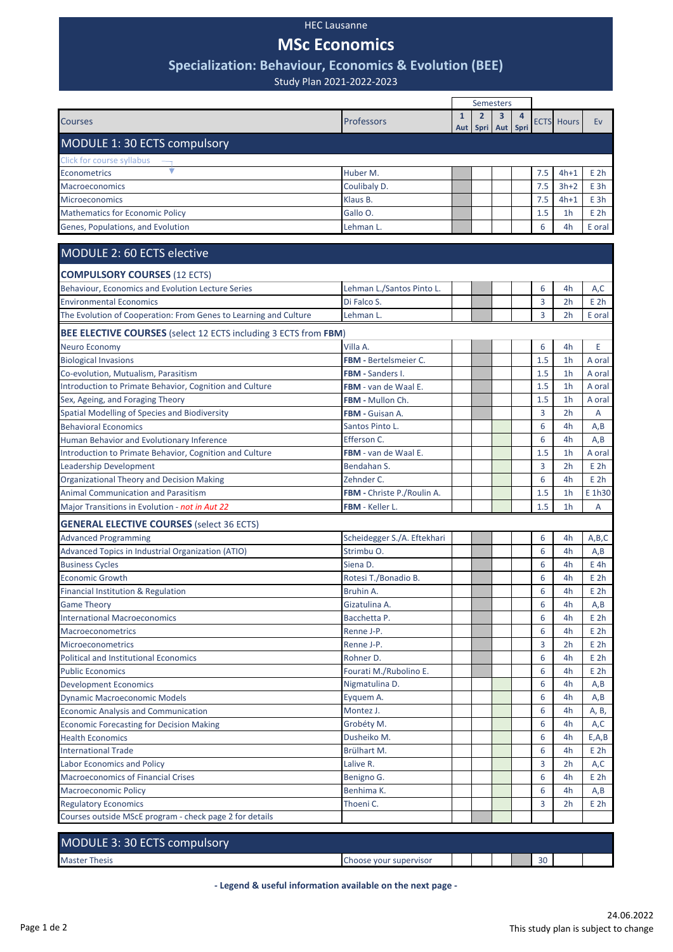## HEC Lausanne

# **MSc Economics**

# **Specialization: Behaviour, Economics & Evolution (BEE)**

Study Plan 2021-2022-2023

|                                                                  |                              | Semesters           |                             |          |           |     |                   |                 |  |
|------------------------------------------------------------------|------------------------------|---------------------|-----------------------------|----------|-----------|-----|-------------------|-----------------|--|
| <b>Courses</b>                                                   | Professors                   | $\mathbf{1}$<br>Aut | $\mathbf{2}$<br><b>Spri</b> | 3<br>Aut | 4<br>Spri |     | <b>ECTS</b> Hours | Ev              |  |
| MODULE 1: 30 ECTS compulsory                                     |                              |                     |                             |          |           |     |                   |                 |  |
| Click for course syllabus                                        |                              |                     |                             |          |           |     |                   |                 |  |
| Econometrics                                                     | Huber M.                     |                     |                             |          |           | 7.5 | $4h+1$            | E <sub>2h</sub> |  |
| Macroeconomics                                                   | Coulibaly D.                 |                     |                             |          |           | 7.5 | $3h+2$            | E 3h            |  |
| <b>Microeconomics</b>                                            | Klaus B.                     |                     |                             |          |           | 7.5 | $4h+1$            | E3h             |  |
| <b>Mathematics for Economic Policy</b>                           | Gallo O.                     |                     |                             |          |           | 1.5 | 1 <sub>h</sub>    | E <sub>2h</sub> |  |
| Genes, Populations, and Evolution                                | Lehman L.                    |                     |                             |          |           | 6   | 4h                | E oral          |  |
| MODULE 2: 60 ECTS elective                                       |                              |                     |                             |          |           |     |                   |                 |  |
| <b>COMPULSORY COURSES (12 ECTS)</b>                              |                              |                     |                             |          |           |     |                   |                 |  |
| Behaviour, Economics and Evolution Lecture Series                | Lehman L./Santos Pinto L.    |                     |                             |          |           | 6   | 4h                | A,C             |  |
| <b>Environmental Economics</b>                                   | Di Falco S.                  |                     |                             |          |           | 3   | 2 <sub>h</sub>    | E <sub>2h</sub> |  |
| The Evolution of Cooperation: From Genes to Learning and Culture | Lehman L.                    |                     |                             |          |           | 3   | 2 <sub>h</sub>    | E oral          |  |
| BEE ELECTIVE COURSES (select 12 ECTS including 3 ECTS from FBM)  |                              |                     |                             |          |           |     |                   |                 |  |
| Neuro Economy                                                    | Villa A.                     |                     |                             |          |           | 6   | 4h                | E               |  |
| <b>Biological Invasions</b>                                      | <b>FBM - Bertelsmeier C.</b> |                     |                             |          |           | 1.5 | 1 <sub>h</sub>    | A oral          |  |
| Co-evolution, Mutualism, Parasitism                              | <b>FBM</b> - Sanders I.      |                     |                             |          |           | 1.5 | 1 <sub>h</sub>    | A oral          |  |
| Introduction to Primate Behavior, Cognition and Culture          | FBM - van de Waal E.         |                     |                             |          |           | 1.5 | 1 <sub>h</sub>    | A oral          |  |
| Sex, Ageing, and Foraging Theory                                 | FBM - Mullon Ch.             |                     |                             |          |           | 1.5 | 1 <sub>h</sub>    | A oral          |  |
| Spatial Modelling of Species and Biodiversity                    | FBM - Guisan A.              |                     |                             |          |           | 3   | 2 <sub>h</sub>    | A               |  |
| <b>Behavioral Economics</b>                                      | Santos Pinto L.              |                     |                             |          |           | 6   | 4h                | A,B             |  |
| Human Behavior and Evolutionary Inference                        | Efferson C.                  |                     |                             |          |           | 6   | 4h                | A,B             |  |
| Introduction to Primate Behavior, Cognition and Culture          | <b>FBM</b> - van de Waal E.  |                     |                             |          |           | 1.5 | 1 <sub>h</sub>    | A oral          |  |
| Leadership Development                                           | Bendahan S.                  |                     |                             |          |           | 3   | 2 <sub>h</sub>    | E <sub>2h</sub> |  |
| <b>Organizational Theory and Decision Making</b>                 | Zehnder C.                   |                     |                             |          |           | 6   | 4h                | E <sub>2h</sub> |  |
| <b>Animal Communication and Parasitism</b>                       | FBM - Christe P./Roulin A.   |                     |                             |          |           | 1.5 | 1 <sub>h</sub>    | E 1h30          |  |
| Major Transitions in Evolution - not in Aut 22                   | FBM - Keller L.              |                     |                             |          |           | 1.5 | 1 <sub>h</sub>    | A               |  |
| <b>GENERAL ELECTIVE COURSES</b> (select 36 ECTS)                 |                              |                     |                             |          |           |     |                   |                 |  |
| <b>Advanced Programming</b>                                      | Scheidegger S./A. Eftekhari  |                     |                             |          |           | 6   | 4h                | A,B,C           |  |
| Advanced Topics in Industrial Organization (ATIO)                | Strimbu O.                   |                     |                             |          |           | 6   | 4h                | A,B             |  |
| <b>Business Cycles</b>                                           | Siena D.                     |                     |                             |          |           | 6   | 4h                | $E$ 4h          |  |
| <b>Economic Growth</b>                                           | Rotesi T./Bonadio B.         |                     |                             |          |           | 6   | 4h                | E <sub>2h</sub> |  |
| Financial Institution & Regulation                               | Bruhin A.                    |                     |                             |          |           | 6   | 4h                | E <sub>2h</sub> |  |
| <b>Game Theory</b>                                               | Gizatulina A.                |                     |                             |          |           | 6   | 4h                | A, B            |  |
| <b>International Macroeconomics</b>                              | Bacchetta P.                 |                     |                             |          |           | 6   | 4h                | E <sub>2h</sub> |  |
| <b>Macroeconometrics</b>                                         | Renne J-P.                   |                     |                             |          |           | 6   | 4h                | E <sub>2h</sub> |  |
| <b>Microeconometrics</b>                                         | Renne J-P.                   |                     |                             |          |           | 3   | 2h                | E <sub>2h</sub> |  |
| <b>Political and Institutional Economics</b>                     | Rohner D.                    |                     |                             |          |           | 6   | 4h                | E <sub>2h</sub> |  |
| <b>Public Economics</b>                                          | Fourati M./Rubolino E.       |                     |                             |          |           | 6   | 4h                | E <sub>2h</sub> |  |
| <b>Development Economics</b>                                     | Nigmatulina D.               |                     |                             |          |           | 6   | 4h                | A,B             |  |
| <b>Dynamic Macroeconomic Models</b>                              | Eyquem A.                    |                     |                             |          |           | 6   | 4h                | A,B             |  |
| <b>Economic Analysis and Communication</b>                       | Montez J.                    |                     |                             |          |           | 6   | 4h                | A, B,           |  |
| <b>Economic Forecasting for Decision Making</b>                  | Grobéty M.                   |                     |                             |          |           | 6   | 4h                | A,C             |  |
| <b>Health Economics</b>                                          | Dusheiko M.                  |                     |                             |          |           | 6   | 4h                | E, A, B         |  |
| <b>International Trade</b>                                       | Brülhart M.                  |                     |                             |          |           | 6   | 4h                | E <sub>2h</sub> |  |
| Labor Economics and Policy                                       | Lalive R.                    |                     |                             |          |           | 3   | 2 <sub>h</sub>    | A,C             |  |
| <b>Macroeconomics of Financial Crises</b>                        | Benigno G.                   |                     |                             |          |           | 6   | 4h                | E 2h            |  |
| <b>Macroeconomic Policy</b>                                      | Benhima K.                   |                     |                             |          |           | 6   | 4h                | A, B            |  |
| <b>Regulatory Economics</b>                                      | Thoeni C.                    |                     |                             |          |           | 3   | 2h                | E <sub>2h</sub> |  |
| Courses outside MScE program - check page 2 for details          |                              |                     |                             |          |           |     |                   |                 |  |
| MODULE 3: 30 ECTS compulsory                                     |                              |                     |                             |          |           |     |                   |                 |  |

Master Thesis **Choose your supervisor** 30

**- Legend & useful information available on the next page -**